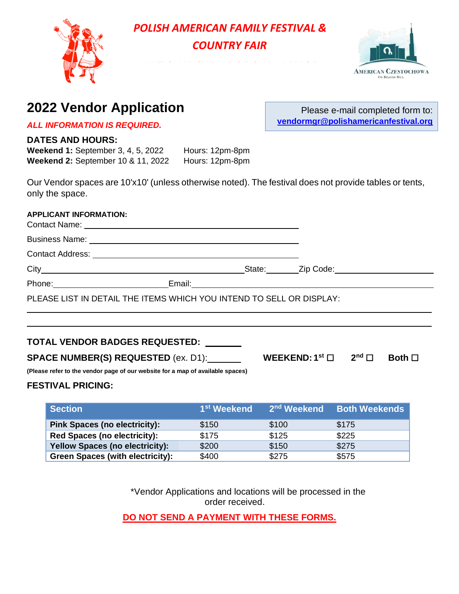

# *POLISH AMERICAN FAMILY FESTIVAL & COUNTRY FAIR*

NATIONAL SHRINE OF OUR LADY OF



Please e-mail completed form to:

**vendormgr@polishamericanfestival.org**

# **2022 Vendor Application**

*ALL INFORMATION IS REQUIRED.*

#### **DATES AND HOURS:**

**Weekend 1:** September 3, 4, 5, 2022 Hours: 12pm-8pm **Weekend 2:** September 10 & 11, 2022 Hours: 12pm-8pm

Our Vendor spaces are 10'x10' (unless otherwise noted). The festival does not provide tables or tents, only the space.

#### **APPLICANT INFORMATION:**

| PLEASE LIST IN DETAIL THE ITEMS WHICH YOU INTEND TO SELL OR DISPLAY: |  |
|----------------------------------------------------------------------|--|
|                                                                      |  |

#### **TOTAL VENDOR BADGES REQUESTED:**

**SPACE NUMBER(S) REQUESTED** (ex. D1):  $\frac{1}{2}$ 

**WEEKEND:**  $1^{st}$   $\Box$   $2^{nd}$   $\Box$ **Both** □

**(Please refer to the vendor page of our website for a map of available spaces)**

#### **FESTIVAL PRICING:**

| Section                                 | 1 <sup>st</sup> Weekend | 2 <sup>nd</sup> Weekend | <b>Both Weekends</b> |
|-----------------------------------------|-------------------------|-------------------------|----------------------|
| <b>Pink Spaces (no electricity):</b>    | \$150                   | \$100                   | \$175                |
| <b>Red Spaces (no electricity):</b>     | \$175                   | \$125                   | \$225                |
| <b>Yellow Spaces (no electricity):</b>  | \$200                   | \$150                   | \$275                |
| <b>Green Spaces (with electricity):</b> | \$400                   | \$275                   | \$575                |

\*Vendor Applications and locations will be processed in the order received.

**DO NOT SEND A PAYMENT WITH THESE FORMS.**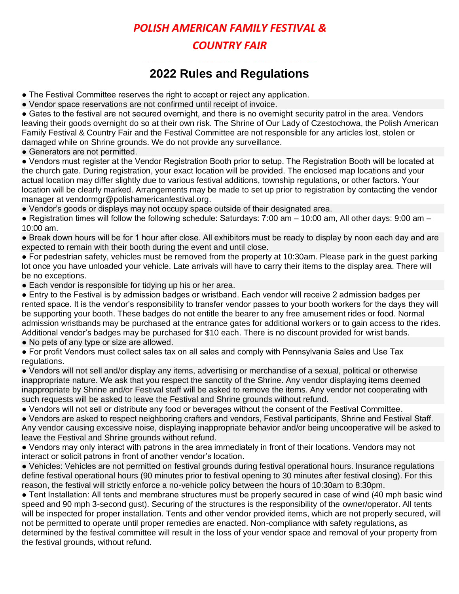## *POLISH AMERICAN FAMILY FESTIVAL & COUNTRY FAIR*

### national Secretary<br>Contractor of the Occulations CZESTOCHOWA **2022 Rules and Regulations**

- The Festival Committee reserves the right to accept or reject any application.
- Vendor space reservations are not confirmed until receipt of invoice.

● Gates to the festival are not secured overnight, and there is no overnight security patrol in the area. Vendors leaving their goods overnight do so at their own risk. The Shrine of Our Lady of Czestochowa, the Polish American Family Festival & Country Fair and the Festival Committee are not responsible for any articles lost, stolen or damaged while on Shrine grounds. We do not provide any surveillance.

• Generators are not permitted.

● Vendors must register at the Vendor Registration Booth prior to setup. The Registration Booth will be located at the church gate. During registration, your exact location will be provided. The enclosed map locations and your actual location may differ slightly due to various festival additions, township regulations, or other factors. Your location will be clearly marked. Arrangements may be made to set up prior to registration by contacting the vendor manager at vendormgr@polishamericanfestival.org.

● Vendor's goods or displays may not occupy space outside of their designated area.

 $\bullet$  Registration times will follow the following schedule: Saturdays: 7:00 am – 10:00 am, All other days: 9:00 am – 10:00 am.

● Break down hours will be for 1 hour after close. All exhibitors must be ready to display by noon each day and are expected to remain with their booth during the event and until close.

● For pedestrian safety, vehicles must be removed from the property at 10:30am. Please park in the guest parking lot once you have unloaded your vehicle. Late arrivals will have to carry their items to the display area. There will be no exceptions.

• Each vendor is responsible for tidying up his or her area.

● Entry to the Festival is by admission badges or wristband. Each vendor will receive 2 admission badges per rented space. It is the vendor's responsibility to transfer vendor passes to your booth workers for the days they will be supporting your booth. These badges do not entitle the bearer to any free amusement rides or food. Normal admission wristbands may be purchased at the entrance gates for additional workers or to gain access to the rides. Additional vendor's badges may be purchased for \$10 each. There is no discount provided for wrist bands.

• No pets of any type or size are allowed.

● For profit Vendors must collect sales tax on all sales and comply with Pennsylvania Sales and Use Tax regulations.

● Vendors will not sell and/or display any items, advertising or merchandise of a sexual, political or otherwise inappropriate nature. We ask that you respect the sanctity of the Shrine. Any vendor displaying items deemed inappropriate by Shrine and/or Festival staff will be asked to remove the items. Any vendor not cooperating with such requests will be asked to leave the Festival and Shrine grounds without refund.

● Vendors will not sell or distribute any food or beverages without the consent of the Festival Committee.

● Vendors are asked to respect neighboring crafters and vendors, Festival participants, Shrine and Festival Staff. Any vendor causing excessive noise, displaying inappropriate behavior and/or being uncooperative will be asked to leave the Festival and Shrine grounds without refund.

● Vendors may only interact with patrons in the area immediately in front of their locations. Vendors may not interact or solicit patrons in front of another vendor's location.

● Vehicles: Vehicles are not permitted on festival grounds during festival operational hours. Insurance regulations define festival operational hours (90 minutes prior to festival opening to 30 minutes after festival closing). For this reason, the festival will strictly enforce a no-vehicle policy between the hours of 10:30am to 8:30pm.

● Tent Installation: All tents and membrane structures must be properly secured in case of wind (40 mph basic wind speed and 90 mph 3-second gust). Securing of the structures is the responsibility of the owner/operator. All tents will be inspected for proper installation. Tents and other vendor provided items, which are not properly secured, will not be permitted to operate until proper remedies are enacted. Non-compliance with safety regulations, as determined by the festival committee will result in the loss of your vendor space and removal of your property from the festival grounds, without refund.